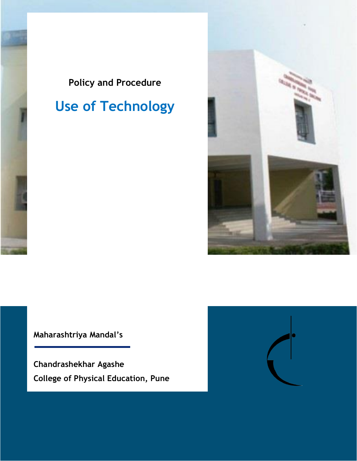

# **Use of Technology**



**Maharashtriya Mandal's**

**Chandrashekhar Agashe College of Physical Education, Pune**

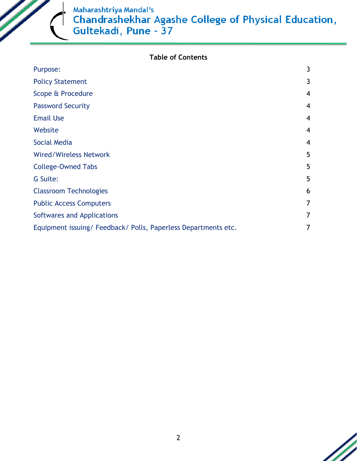

|  |  | <b>Table of Contents</b> |  |
|--|--|--------------------------|--|
|--|--|--------------------------|--|

| Purpose:                                                     | 3 |
|--------------------------------------------------------------|---|
| <b>Policy Statement</b>                                      | 3 |
| Scope & Procedure                                            | 4 |
| <b>Password Security</b>                                     | 4 |
| <b>Email Use</b>                                             | 4 |
| Website                                                      | 4 |
| Social Media                                                 | 4 |
| <b>Wired/Wireless Network</b>                                | 5 |
| <b>College-Owned Tabs</b>                                    | 5 |
| G Suite:                                                     | 5 |
| <b>Classroom Technologies</b>                                | 6 |
| <b>Public Access Computers</b>                               | 7 |
| Softwares and Applications                                   |   |
| Equipment issuing/Feedback/Polls, Paperless Departments etc. |   |

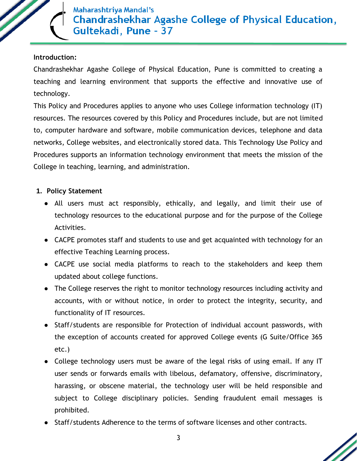

## **Introduction:**

Chandrashekhar Agashe College of Physical Education, Pune is committed to creating a teaching and learning environment that supports the effective and innovative use of technology.

This Policy and Procedures applies to anyone who uses College information technology (IT) resources. The resources covered by this Policy and Procedures include, but are not limited to, computer hardware and software, mobile communication devices, telephone and data networks, College websites, and electronically stored data. This Technology Use Policy and Procedures supports an information technology environment that meets the mission of the College in teaching, learning, and administration.

## **1. Policy Statement**

- All users must act responsibly, ethically, and legally, and limit their use of technology resources to the educational purpose and for the purpose of the College Activities.
- CACPE promotes staff and students to use and get acquainted with technology for an effective Teaching Learning process.
- CACPE use social media platforms to reach to the stakeholders and keep them updated about college functions.
- The College reserves the right to monitor technology resources including activity and accounts, with or without notice, in order to protect the integrity, security, and functionality of IT resources.
- Staff/students are responsible for Protection of individual account passwords, with the exception of accounts created for approved College events (G Suite/Office 365 etc.)
- College technology users must be aware of the legal risks of using email. If any IT user sends or forwards emails with libelous, defamatory, offensive, discriminatory, harassing, or obscene material, the technology user will be held responsible and subject to College disciplinary policies. Sending fraudulent email messages is prohibited.
- Staff/students Adherence to the terms of software licenses and other contracts.

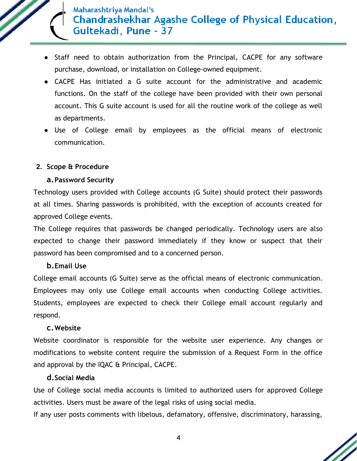

- Staff need to obtain authorization from the Principal, CACPE for any software purchase, download, or installation on College-owned equipment.
- CACPE Has initiated a G suite account for the administrative and academic functions. On the staff of the college have been provided with their own personal account. This G suite account is used for all the routine work of the college as well as departments.
- Use of College email by employees as the official means of electronic communication.

## **2. Scope & Procedure**

## **a.Password Security**

Technology users provided with College accounts (G Suite) should protect their passwords at all times. Sharing passwords is prohibited, with the exception of accounts created for approved College events.

The College requires that passwords be changed periodically. Technology users are also expected to change their password immediately if they know or suspect that their password has been compromised and to a concerned person.

## **b.Email Use**

College email accounts (G Suite) serve as the official means of electronic communication. Employees may only use College email accounts when conducting College activities. Students, employees are expected to check their College email account regularly and respond.

## **c.Website**

Website coordinator is responsible for the website user experience. Any changes or modifications to website content require the submission of a Request Form in the office and approval by the IQAC & Principal, CACPE.

## **d.Social Media**

Use of College social media accounts is limited to authorized users for approved College activities. Users must be aware of the legal risks of using social media.

If any user posts comments with libelous, defamatory, offensive, discriminatory, harassing,

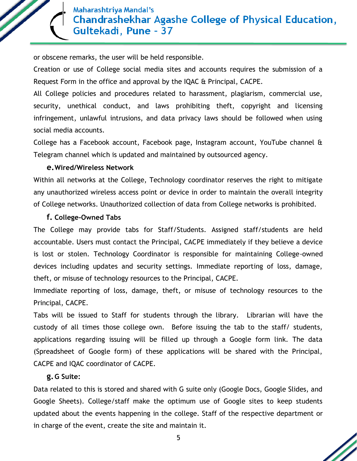or obscene remarks, the user will be held responsible.

Creation or use of College social media sites and accounts requires the submission of a Request Form in the office and approval by the IQAC & Principal, CACPE.

All College policies and procedures related to harassment, plagiarism, commercial use, security, unethical conduct, and laws prohibiting theft, copyright and licensing infringement, unlawful intrusions, and data privacy laws should be followed when using social media accounts.

College has a Facebook account, Facebook page, Instagram account, YouTube channel & Telegram channel which is updated and maintained by outsourced agency.

#### **e.Wired/Wireless Network**

Within all networks at the College, Technology coordinator reserves the right to mitigate any unauthorized wireless access point or device in order to maintain the overall integrity of College networks. Unauthorized collection of data from College networks is prohibited.

#### **f. College-Owned Tabs**

The College may provide tabs for Staff/Students. Assigned staff/students are held accountable. Users must contact the Principal, CACPE immediately if they believe a device is lost or stolen. Technology Coordinator is responsible for maintaining College-owned devices including updates and security settings. Immediate reporting of loss, damage, theft, or misuse of technology resources to the Principal, CACPE.

Immediate reporting of loss, damage, theft, or misuse of technology resources to the Principal, CACPE.

Tabs will be issued to Staff for students through the library. Librarian will have the custody of all times those college own. Before issuing the tab to the staff/ students, applications regarding issuing will be filled up through a Google form link. The data (Spreadsheet of Google form) of these applications will be shared with the Principal, CACPE and IQAC coordinator of CACPE.

## **g.G Suite:**

Data related to this is stored and shared with G suite only (Google Docs, Google Slides, and Google Sheets). College/staff make the optimum use of Google sites to keep students updated about the events happening in the college. Staff of the respective department or in charge of the event, create the site and maintain it.

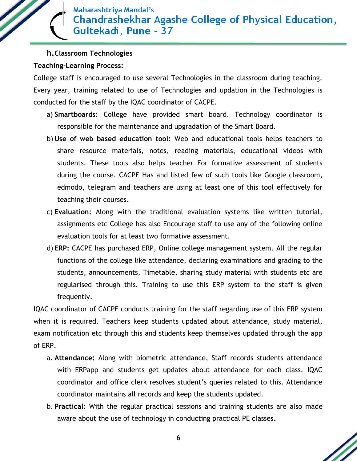#### **h.Classroom Technologies**

## **Teaching-Learning Process:**

College staff is encouraged to use several Technologies in the classroom during teaching. Every year, training related to use of Technologies and updation in the Technologies is conducted for the staff by the IQAC coordinator of CACPE.

- a) **Smartboards:** College have provided smart board. Technology coordinator is responsible for the maintenance and upgradation of the Smart Board.
- b) **Use of web based education tool:** Web and educational tools helps teachers to share resource materials, notes, reading materials, educational videos with students. These tools also helps teacher For formative assessment of students during the course. CACPE Has and listed few of such tools like Google classroom, edmodo, telegram and teachers are using at least one of this tool effectively for teaching their courses.
- c) **Evaluation:** Along with the traditional evaluation systems like written tutorial, assignments etc College has also Encourage staff to use any of the following online evaluation tools for at least two formative assessment.
- d) **ERP:** CACPE has purchased ERP, Online college management system. All the regular functions of the college like attendance, declaring examinations and grading to the students, announcements, Timetable, sharing study material with students etc are regularised through this. Training to use this ERP system to the staff is given frequently.

IQAC coordinator of CACPE conducts training for the staff regarding use of this ERP system when it is required. Teachers keep students updated about attendance, study material, exam notification etc through this and students keep themselves updated through the app of ERP.

- a. **Attendance:** Along with biometric attendance, Staff records students attendance with ERPapp and students get updates about attendance for each class. IQAC coordinator and office clerk resolves student's queries related to this. Attendance coordinator maintains all records and keep the students updated.
- b. **Practical:** With the regular practical sessions and training students are also made aware about the use of technology in conducting practical PE classes**.**

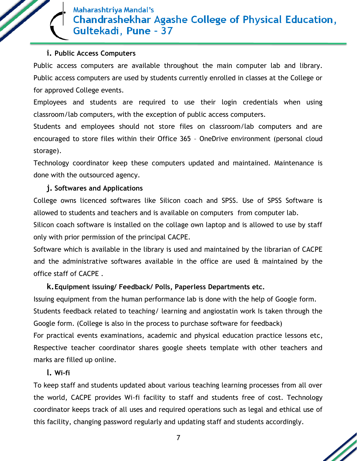#### **i. Public Access Computers**

Public access computers are available throughout the main computer lab and library. Public access computers are used by students currently enrolled in classes at the College or for approved College events.

Employees and students are required to use their login credentials when using classroom/lab computers, with the exception of public access computers.

Students and employees should not store files on classroom/lab computers and are encouraged to store files within their Office 365 – OneDrive environment (personal cloud storage).

Technology coordinator keep these computers updated and maintained. Maintenance is done with the outsourced agency.

## **j. Softwares and Applications**

College owns licenced softwares like Silicon coach and SPSS. Use of SPSS Software is allowed to students and teachers and is available on computers from computer lab.

Silicon coach software is installed on the collage own laptop and is allowed to use by staff only with prior permission of the principal CACPE.

Software which is available in the library is used and maintained by the librarian of CACPE and the administrative softwares available in the office are used  $\alpha$  maintained by the office staff of CACPE .

## **k.Equipment issuing/ Feedback/ Polls, Paperless Departments etc.**

Issuing equipment from the human performance lab is done with the help of Google form. Students feedback related to teaching/ learning and angiostatin work Is taken through the Google form. (College is also in the process to purchase software for feedback)

For practical events examinations, academic and physical education practice lessons etc, Respective teacher coordinator shares google sheets template with other teachers and marks are filled up online.

## **l. Wi-fi**

To keep staff and students updated about various teaching learning processes from all over the world, CACPE provides Wi-fi facility to staff and students free of cost. Technology coordinator keeps track of all uses and required operations such as legal and ethical use of this facility, changing password regularly and updating staff and students accordingly.

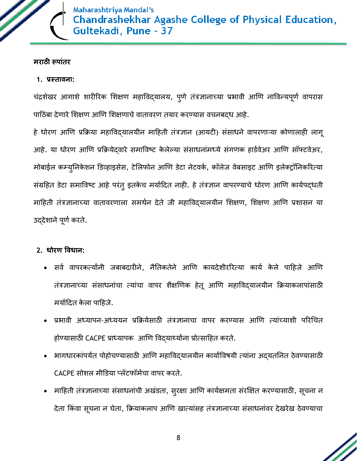

## **मराठी रूपाांतर**

## **1. प्रस्तावना:**

चंद्रशेखर आगाशे शारीरिक शिक्षण महाविद्यालय, पुणे तंत्रज्ञानाच्या प्रभावी आणि नाविन्यपूर्ण वापरास पाठिंबा देणारे शिक्षण आणि शिक्षणाचे वातावरण तयार करण्यास वचनबदध आहे.

हे धोरण आणि प्रक्रिया महाविद्यालयीन माहिती तंत्रज्ञान (आयटी) संसाधने वापरणाऱ्या कोणालाही लागू आहे. या धोरण आणि प्रक्रियेदवारे समाविष्ट केलेल्या संसाधनांमध्ये संगणक हार्डवेअर आणि सॉफ्टवेअर, मोबाईल कम्युनिकेशन डिव्हाइसेस, टेलिफोन आणि डेटा नेटवर्क, कॉलेज वेबसाइट आणि इलेक्ट्रॉनिकरित्या संग्रहित डेटा समाविष्ट आहे परंतु इतकेच मर्यादित नाही. हे तंत्रज्ञान वापरण्याचे धोरण आणि कार्यपद्धती माहिती तंत्रज्ञानाच्या वातावरणाला समर्थन देते जी महाविद्यालयीन शिक्षण, शिक्षण आणि प्रशासन या उद्देशाने पूर्ण करते.

## **2. धोरण ववधान:**

- सर्व वापरकर्त्यांनी जबाबदारीने, नैतिकतेने आणि कायदेशीररित्या कार्य केले पाहिजे आणि तंत्रज्ञानाच्या संसाधनांचा त्यांचा वापर शैक्षणिक हेतू आणि महाविद्यालयीन क्रियाकलापांसाठी मर्यादित केला पाहिजे.
- प्रभावी अध्यापन-अध्ययन प्रक्रियेसाठी तंत्रज्ञानाचा वापर करण्यास आणि त्यांच्याशी परिचित होण्यासाठी CACPE प्राध्यापक आणि विद्यार्थ्यांना प्रोत्साहित करते.
- भागधारकांपर्यंत पोहोचण्यासाठी आणि महाविदयालयीन कार्याविषयी त्यांना अदयतनित ठेवण्यासाठी CACPE सोशल मीडिया प्लॅटफॉर्मचा वापर करते.
- माहिती तंत्रज्ञानाच्या संसाधनांची अखंडता, सुरक्षा आणि कार्यक्षमता संरक्षित करण्यासाठी, सूचना न देता किंवा सूचना न घेता, क्रियाकलाप आणि खात्यांसह तंत्रज्ञानाच्या संसाधनांवर देखरेख ठेवण्याचा

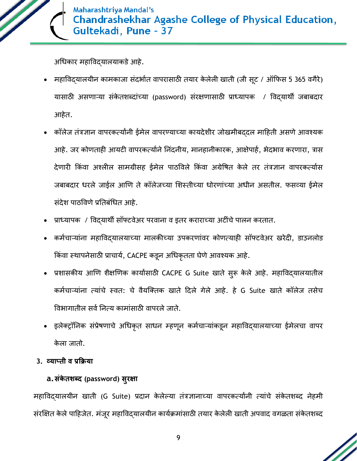

अचधकार महाविद्यालयाकर्ेआहे.

- महाविद्यालयीन कामकाजा संदर्भात वापरासाठी तयार केलेली खाती (जी सूट / ऑफिस 5 365 वगैरे) यासाठी असणाऱ्या संकेतशब्दांच्या (password) संरक्षणासाठी प्राध्यापक / विद्यार्थी जबाबदार आहेत.
- कॉलेज तंत्रज्ञान वापरकर्त्यांनी ईमेल वापरण्याच्या कायदेशीर जोखमीबद्दल माहिती असणे आवश्यक आहे. जर कोणताही आयटी वापरकर्त्याने निंदनीय, मानहानीकारक, आक्षेपार्ह, भेदभाव करणारा, त्रास देणारी किंवा अश्लील सामग्रीसह ईमेल पाठविले किंवा अग्रेषित केले तर तंत्रज्ञान वापरकर्त्यास जबाबदार धरले जाईल आणण तेकॉलेजच्या शशस्तीच्या धोरणांच्या अधीन असतील. फसव्या ईमेल संदेश पाठविणे प्रतिबंधित आहे.
- प्राध्यापक / विद्यार्थी सॉफ्टवेअर परवाना व इतर कराराच्या अटींचे पालन करतात.
- कर्मचाऱ्यांना महाविद्यालयाच्या मालकीच्या उपकरणांवर कोणत्याही सॉफ्टवेअर खरेदी, डाउनलोड किंवा स्थापनेसाठी प्राचार्य, CACPE कडून अधिकृतता घेणे आवश्यक आहे.
- प्रशासकीय आणि शैक्षणिक कार्यांसाठी CACPE G Suite खाते सुरू केले आहे. महाविद्यालयातील कर्मचाऱ्यांना त्यांचे स्वत: चे वैयक्तिक खाते दिले गेले आहे. हे G Suite खाते कॉलेज तसेच विभागातील सर्व नित्य कामांसाठी वापरले जाते.
- इलेक्ट्रॉनिक संप्रेषणाचे अधिकृत साधन म्हणून कर्मचाऱ्यांकडून महाविद्यालयाच्या ईमेलचा वापर के ला जातो.
- **3. व्याप्ती व प्रक्रिया**

## **a.संके तशब्द (password) सुरक्षा**

महाविद्यालयीन खाती (G Suite) प्रदान केलेल्या तंत्रज्ञानाच्या वापरकर्त्यांनी त्यांचे संकेतशब्द नेहमी संरक्षित केले पाहिजेत. मंजूर महाविद्यालयीन कार्यक्रमांसाठी तयार केलेली खाती अपवाद वगळता संकेतशब्द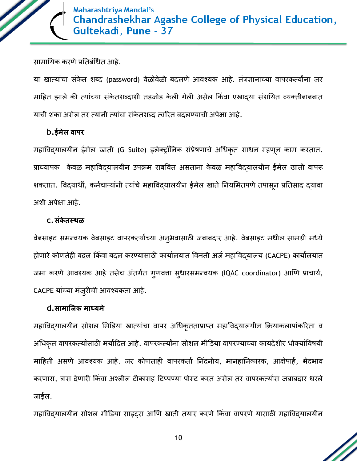

सामायिक करणे प्रतिबंधित आहे.

या खात्यांचा संकेत शब्द (password) वेळोवेळी बदलणे आवश्यक आहे. तंत्रज्ञानाच्या वापरकर्त्यांना जर माहित झाले की त्यांच्या संकेतशब्दाशी तडजोड केली गेली असेल किंवा एखादया संशयित व्यक्तीबाबबात याची शंका असेल तर त्यांनी त्यांचा संकेतशब्द त्वरित बदलण्याची अपेक्षा आहे.

## **b.ईमेल वापर**

महाविद्यालयीन ईमेल खाती (G Suite) इलेक्ट्रॉननक संप्रेषणाचे अचधकृत साधन म्हणून काम करतात. प्राध्यापक केवळ महाविदयालयीन उपक्रम राबवित असताना केवळ महाविदयालयीन ईमेल खाती वापरू शकतात. विदयार्थी, कर्मचाऱ्यांनी त्यांचे महाविदयालयीन ईमेल खाते नियमितपणे तपासून प्रतिसाद दयावा अशी अपेक्षा आहे.

## **c.संके तस्थळ**

वेबसाइट समन्वयक वेबसाइट वापरकर्त्याच्या अनुभवासाठी जबाबदार आहे. वेबसाइट मधील सामग्री मध्ये होणारे कोणतेही बदल किंवा बदल करण्यासाठी कार्यालयात विनंती अर्ज महाविद्यालय (CACPE) कार्यालयात जमा करणे आवश्यक आहे तसेच अंतर्गत गुणवत्ता सुधारसमन्वयक (IQAC coordinator) आणि प्राचार्य, CACPE यांच्या मंजुरीची आिश्यकता आहे.

## **d.सामाजिक माध्यमे**

महाविद्यालयीन सोशल मिडिया खात्यांचा वापर अधिकृतताप्राप्त महाविद्यालयीन क्रियाकलापांकरिता व अधिकृत वापरकर्त्यांसाठी मर्यादित आहे. वापरकर्त्यांना सोशल मीडिया वापरण्याच्या कायदेशीर धोक्यांविषयी माहिती असणे आवश्यक आहे. जर कोणताही वापरकर्ता निंदनीय, मानहानिकारक, आक्षेपार्ह, भेदभाव करणारा, त्रास देणारी किंवा अश्लील टीकासह टिप्पण्या पोस्ट करत असेल तर वापरकर्त्यास जबाबदार धरले जाईल.

महाविद्यालयीन सोशल मीडिया साइट्स आणि खाती तयार करणे किंवा वापरणे यासाठी महाविद्यालयीन

10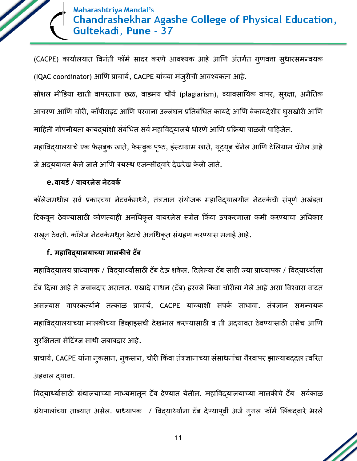(CACPE) कार्यालयात विनंती फॉर्म सादर करणे आवश्यक आहे आणि अंतर्गत गुणवत्ता सुधारसमन्वयक (IQAC coordinator) आणि प्राचार्य, CACPE यांच्या मंजूरीची आवश्यकता आहे.

सोशल मीडिया खाती वापरताना छळ, वाडमय चौर्य (plagiarism), व्यावसायिक वापर, सुरक्षा, अनैतिक आचरण आणि चोरी, कॉपीराइट आणि परवाना उल्लंघन प्रतिबंधित कायदे आणि बेकायदेशीर घुसखोरी आणि माहिती गोपनीयता कायद्यांशी संबंधित सर्व महाविद्यालये धोरणे आणि प्रक्रिया पाळली पाहिजेत.

महाविद्यालयाचे एक फेसबुक खाते, फेसबुक पृष्ठ, इंस्टाग्राम खाते, यूट्यूब चॅनेल आणि टेलिग्राम चॅनेल आहे जे अद्ययावत केले जाते आणि त्रयस्थ एजन्सीद्वारे देखरेख केली जाते.

## **e.वायर्ड/ वायरलेस नेटवकड**

कॉलेजमधील सर्व प्रकारच्या नेटवर्कमध्ये, तंत्रज्ञान संयोजक महाविद्यालयीन नेटवर्कची संपूर्ण अखंडता टिकवून ठेवण्यासाठी कोणत्याही अनधिकृत वायरलेस स्त्रोत किंवा उपकरणाला कमी करण्याचा अधिकार राखून ठेवतो. कॉलेज नेटवर्कमधून डेटाचे अनधिकृत संग्रहण करण्यास मनाई आहे.

## **f. महाववद्यालयाच्या मालकीचेटॅब**

महाविद्यालय प्राध्यापक / विद्यार्थ्यांसाठी टॅब देऊ शकेल. दिलेल्या टॅब साठी ज्या प्राध्यापक / विद्यार्थ्याला टॅब दिला आहे ते जबाबदार असतात. एखादे साधन (टॅब) हरवले किंवा चोरीला गेले आहे असा विश्वास वाटत असल्यास वापरकर्त्याने तत्काळ प्राचार्य, CACPE यांच्याशी संपर्क साधावा. तंत्रज्ञान समन्वयक महाविद्यालयाच्या मालकीच्या डिव्हाइसची देखभाल करण्यासाठी व ती अद्यावत ठेवण्यासाठी तसेच आणि सुरक्षक्षतता सेठटंग्ज सार्ी जबाबदार आहे.

प्राचार्य, CACPE यांना नुकसान, नुकसान, चोरी किंवा तंत्रज्ञानाच्या संसाधनांचा गैरवापर झाल्याबद्दल त्वरित अहवाल द्यावा.

विद्यार्थ्यांसाठी ग्रंथालयाच्या माध्यमातून टॅब देण्यात येतील. महाविद्यालयाच्या मालकीचे टॅब सर्वकाळ ग्रंथपालांच्या ताब्यात असेल. प्राध्यापक / विद्यार्थ्यांना टॅब देण्यापूर्वी अर्ज गुगल फॉर्म लिंकद्वारे भरले

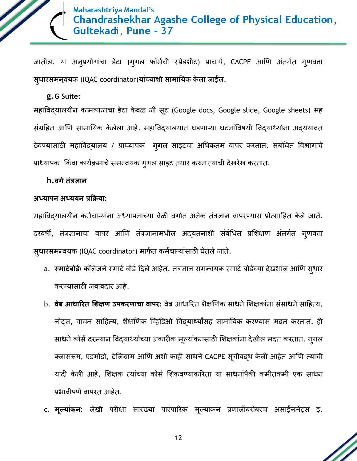

जातील. या अनुप्रयोगांचा डेटा (गुगल फॉर्मची स्प्रेडशीट) प्राचार्य, CACPE आणि अंतर्गत गुणवत्ता सुधारसमनि्यक (IQAC coordinator)यांच्याशी सामानयक के ला जाईल.

#### **g.G Suite:**

महाविद्यालयीन कामकाजाचा डेटा केवळ जी सूट (Google docs, Google slide, Google sheets) सह संग्रहित आणि सामायिक केलेला आहे. महाविद्यालयात घडणाऱ्या घटनांविषयी विद्यार्थ्यांना अद्ययावत ठेवण्यासाठी महाविद्यालय / प्राध्यापक गुगल साइटचा अधिकतम वापर करतात. संबंधित विभागाचे प्राध्यापक किंवा कार्यक्रमाचे समन्वयक गुगल साइट तयार करुन त्याची देखरेख करतात.

#### **h.वर्डतंत्रज्ञान**

#### **अध्यापन अध्ययन प्रक्रिया:**

महाविद्यालयीन कर्मचाऱ्यांना अध्यापनाच्या वेळी वर्गात अनेक तंत्रज्ञान वापरण्यास प्रोत्साहित केले जाते. दरवर्षी, तंत्रज्ञानाचा वापर आणि तंत्रज्ञानामधील अद्यतनाशी संबंधित प्रशिक्षण अंतर्गत गुणवत्ता सुधारसमन्वयक (IQAC coordinator) मार्फत कर्मचाऱ्यांसाठी घेतले जाते.

- a. **स्मार्टबोर्डः** कॉलेजने स्मार्ट बोर्ड दिले आहेत. तंत्रज्ञान समन्वयक स्मार्ट बोर्डच्या देखभाल आणि सुधार करण्यासाठी जबाबदार आहे.
- b. **वेब आधाररत शशक्षण उपकरणाचा वापर:** िेब आधाररत शैक्षणणक साधनेशशक्षकांना संसाधनेसाठहत्य, नोट्स, िाचन साठहत्य, शैक्षणणक क्व्हडर्ओ विद्यार्थयाांसह सामानयक करण्यास मदत करतात. ही साधने कोर्स दरम्यान विद्यार्थ्यांच्या अकारीक मूल्यांकनसाठी शिक्षकांना देखील मदत करतात. गुगल क्लासरूम, एडमोडो, टेलिग्राम आणि अशी काही साधने CACPE सूचीबद्ध केली आहेत आणि त्यांची यादी केली आहे, शिक्षक त्यांच्या कोर्स शिकवण्याकरिता या साधनांपैकी कमीतकमी एक साधन प्रभावीपणे वापरत आहेत.
- c. **मूलयांकन:** लेखी परीक्षा सारख्या पारंपाररक मूल्यांकन प्रणालींबरोबरच असाईनमेंट्स इ.

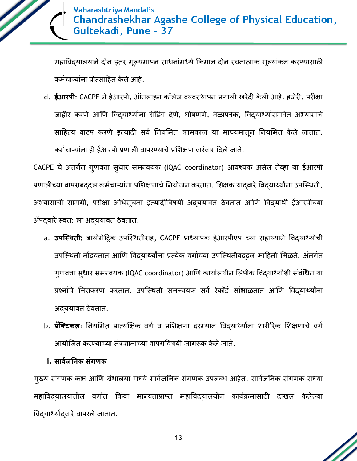

महाविद्यालयाने दोन इतर मूल्यमापन साधनांमध्ये किमान दोन रचनात्मक मूल्यांकन करण्यासाठी कर्मचाऱ्यांना प्रोत्साहित केले आहे.

d. **ईआरपीः** CACPE नेईआरपी, ऑनलाइन कॉलेज व्यिस्र्ापन प्रणाली खरेदी के ली आहे. हजेरी, परीक्षा जाहीर करणे आणि विदयार्थ्यांना ग्रेडिंग देणे, घोषणणे, वेळापत्रक, विदयार्थ्यांसमवेत अभ्यासाचे साहित्य वाटप करणे इत्यादी सर्व नियमित कामकाज या माध्यमातून नियमित केले जातात. कर्मचाऱ्यांना ही ईआरपी प्रणाली वापरण्याचे प्रशिक्षण वारंवार दिले जाते.

CACPE चे अंतर्गत गुणवत्ता सुधार समन्वयक (IQAC coordinator) आवश्यक असेल तेव्हा या ईआरपी प्रणालीच्या वापराबददल कर्मचार्न्यांना प्रशिक्षणाचे नियोजन करतात. शिक्षक यादवारे विदयार्थ्यांना उपस्थिती, अभ्यासाची सामग्री, परीक्षा अधिसूचना इत्यादींविषयी अद्ययावत ठेवतात आणि विद्यार्थी ईआरपीच्या ॲपद्वारे स्वत: ला अद्ययावत ठेवतात.

- a. उपस्थिती: बायोमेट्रिक उपस्थितीसह, CACPE प्राध्यापक ईआरपीएप च्या सहाय्याने विद्यार्थ्यांची उपस्थिती नोंदवतात आणि विद्यार्थ्यांना प्रत्येक वर्गाच्या उपस्थितीबद्दल माहिती मिळते. अंतर्गत गुणवत्ता सुधार समन्वयक (IQAC coordinator) आणि कार्यालयीन लिपीक विद्यार्थ्यांशी संबंधित या प्रश्नांचे निराकरण करतात. उपस्थिती समन्वयक सर्व रेकॉर्ड सांभाळतात आणि विद्यार्थ्यांना अद्ययावत ठेवतात.
- b. **प्रॅक्टिकलः** नियमित प्रात्यक्षिक वर्ग व प्रशिक्षणा दरम्यान विद्यार्थ्यांना शारीरिक शिक्षणाचे वर्ग आयोजित करण्याच्या तंत्रज्ञानाच्या वापराविषयी जागरूक केले जाते.

## **i. सावडिननक संर्णक**

मुख्य संगणक कक्ष आणि ग्रंथालया मध्ये सार्वजनिक संगणक उपलब्ध आहेत. सार्वजनिक संगणक सध्या महाविद्यालयातील वर्गात किंवा मान्यताप्राप्त महाविद्यालयीन कार्यक्रमासाठी दाखल केलेल्या विद्यार्थ्याद्वारे वापरले जातात.

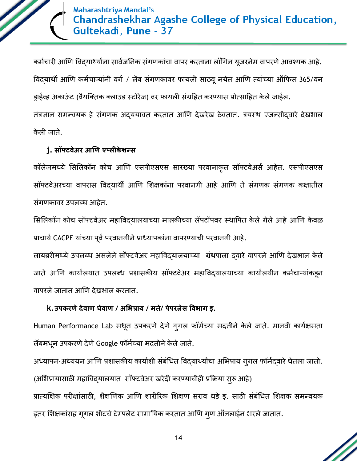

कर्मचारी आणि विद्यार्थ्यांना सार्वजनिक संगणकांचा वापर करताना लॉगिन यूजरनेम वापरणे आवश्यक आहे. विदयार्थी आणि कर्मचार्न्यांनी वर्ग / लॅब संगणकावर फायली साठवू नयेत आणि त्यांच्या ऑफिस 365/वन ड्राईव्ह अकाऊंट (वैयक्तिक क्लाउड स्टोरेज) वर फायली संग्रहित करण्यास प्रोत्साहित केले जाईल.

तंत्रज्ञान समन्वयक हे संगणक अदययावत करतात आणि देखरेख ठेवतात. त्रयस्थ एजन्सीदवारे देखभाल के ली जाते.

## **j. सॉफ्टवेअर आणण एप्लीके शन्स**

कॉलेजमध्ये सिलिकॉन कोच आणि एसपीएसएस सारख्या परवानाकृत सॉफ्टवेअर्स आहेत. एसपीएसएस सॉफ्टवेअरच्या वापरास विदयार्थी आणि शिक्षकांना परवानगी आहे आणि ते संगणक संगणक कक्षातील संगणकावर उपलब्ध आहेत.

सिलिकॉन कोच सॉफ्टवेअर महाविद्यालयाच्या मालकीच्या लॅपटॉपवर स्थापित केले गेले आहे आणि केवळ प्राचार्य CACPE यांच्या पूर्व परवानगीने प्राध्यापकांना वापरण्याची परवानगी आहे.

लायब्ररीमध्ये उपलब्ध असलेले सॉफ्टवेअर महाविद्यालयाच्या ग्रंथपाला दवारे वापरले आणि देखभाल केले जाते आणि कार्यालयात उपलब्ध प्रशासकीय सॉफ्टवेअर महाविद्यालयाच्या कार्यालयीन कर्मचाऱ्यांकडून िापरलेजातात आणण देखभाल करतात.

## **k.उपकरणेदेवाण घेवाण / अशिप्राय / मते/ पेपरलेस वविार् इ.**

Human Performance Lab मधून उपकरणे देणे गुगल फॉर्मच्या मदतीने केले जाते. मानवी कार्यक्षमता लॅबमधून उपकरणे देणे Google फॉर्मच्या मदतीने केले जाते.

अध्यापन-अध्ययन आणि प्रशासकीय कार्याशी संबंधित विद्यार्थ्यांचा अभिप्राय गुगल फॉर्मदवारे घेतला जातो. (अभिप्रायासाठी महाविद्यालयात सॉफ्टवेअर खरेदी करण्याचीही प्रक्रिया सुरू आहे)

प्रात्यक्षिक परीक्षांसाठी, शैक्षणिक आणि शारीरिक शिक्षण सराव धडे इ. साठी संबंधित शिक्षक समन्वयक इतर शिक्षकांसह गूगल शीटचे टेम्पलेट सामायिक करतात आणि गुण ऑनलाईन भरले जातात.